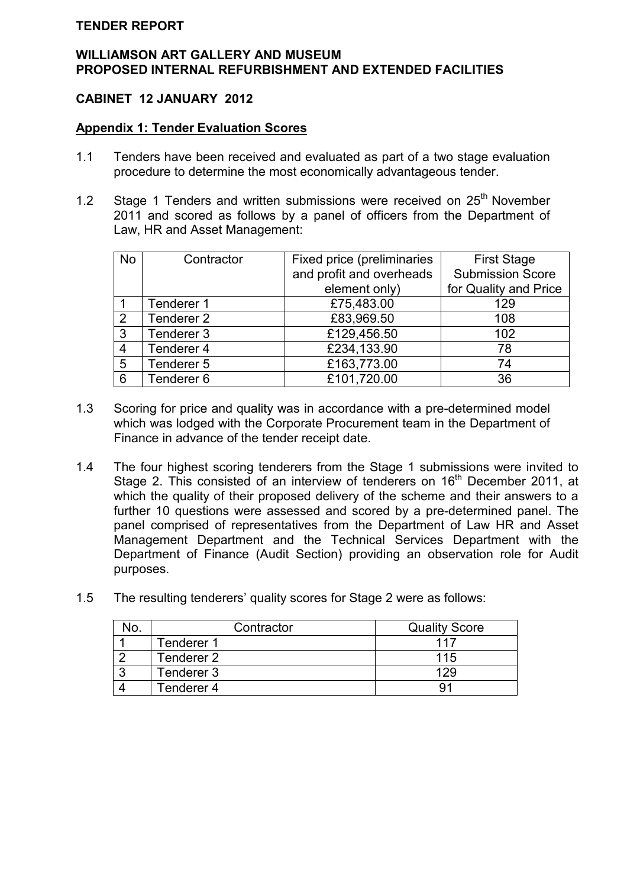## **TENDER REPORT**

### **WILLIAMSON ART GALLERY AND MUSEUM PROPOSED INTERNAL REFURBISHMENT AND EXTENDED FACILITIES**

# **CABINET 12 JANUARY 2012**

### **Appendix 1: Tender Evaluation Scores**

- 1.1 Tenders have been received and evaluated as part of a two stage evaluation procedure to determine the most economically advantageous tender.
- 1.2 Stage 1 Tenders and written submissions were received on  $25<sup>th</sup>$  November 2011 and scored as follows by a panel of officers from the Department of Law, HR and Asset Management:

| <b>No</b>      | Contractor            | Fixed price (preliminaries | <b>First Stage</b>      |  |  |  |
|----------------|-----------------------|----------------------------|-------------------------|--|--|--|
|                |                       | and profit and overheads   | <b>Submission Score</b> |  |  |  |
|                |                       | element only)              | for Quality and Price   |  |  |  |
|                | Tenderer 1            | £75,483.00                 | 129                     |  |  |  |
| $\overline{2}$ | Tenderer <sub>2</sub> | £83,969.50                 | 108                     |  |  |  |
| 3              | Tenderer 3            | £129,456.50                | 102                     |  |  |  |
| $\overline{4}$ | Tenderer 4            | £234,133.90                | 78                      |  |  |  |
| 5              | Tenderer 5            | £163,773.00                | 74                      |  |  |  |
| 6              | Tenderer 6            | £101,720.00                | 36                      |  |  |  |

- 1.3 Scoring for price and quality was in accordance with a pre-determined model which was lodged with the Corporate Procurement team in the Department of Finance in advance of the tender receipt date.
- 1.4 The four highest scoring tenderers from the Stage 1 submissions were invited to Stage 2. This consisted of an interview of tenderers on 16<sup>th</sup> December 2011, at which the quality of their proposed delivery of the scheme and their answers to a further 10 questions were assessed and scored by a pre-determined panel. The panel comprised of representatives from the Department of Law HR and Asset Management Department and the Technical Services Department with the Department of Finance (Audit Section) providing an observation role for Audit purposes.
- 1.5 The resulting tenderers' quality scores for Stage 2 were as follows:

| Contractor | <b>Quality Score</b> |
|------------|----------------------|
| Tenderer 1 | 117                  |
| Tenderer 2 | 115                  |
| Tenderer 3 | 129                  |
| Tenderer 4 |                      |